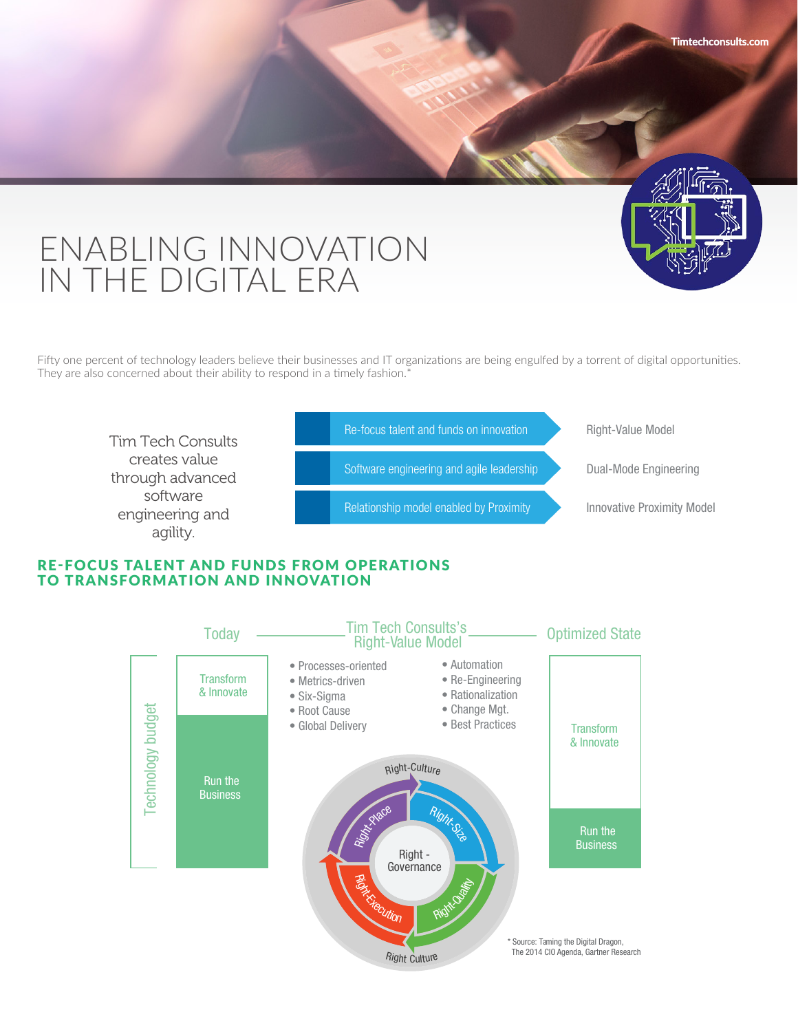# ENABLING INNOVATION IN THE DIGITAL ERA

Fifty one percent of technology leaders believe their businesses and IT organizations are being engulfed by a torrent of digital opportunities. They are also concerned about their ability to respond in a timely fashion.<sup>\*</sup>

**Timtechconsults.com**



## RE-FOCUS TALENT AND FUNDS FROM OPERATIONS TO TRANSFORMATION AND INNOVATION